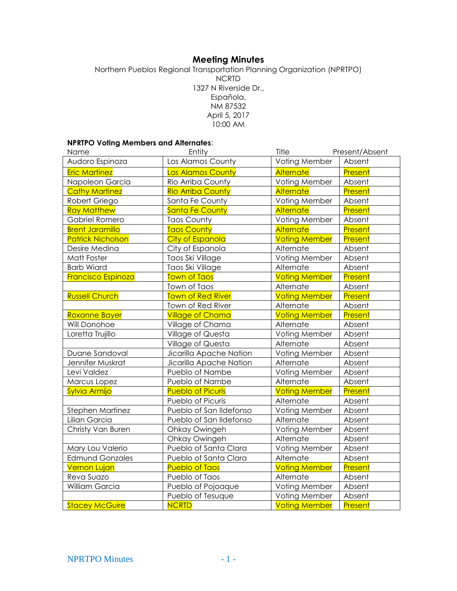## **Meeting Minutes**

Northern Pueblos Regional Transportation Planning Organization (NPRTPO) NCRTD 1327 N Riverside Dr., Española, NM 87532 April 5, 2017 10:00 AM

#### **NPRTPO Voting Members and Alternates**:

| Name                     | Entity                   | Title                | Present/Absent |
|--------------------------|--------------------------|----------------------|----------------|
| Audoro Espinoza          | Los Alamos County        | Voting Member        | Absent         |
| <b>Eric Martinez</b>     | <b>Los Alamos County</b> | Alternate            | Present        |
| Napoleon Garcia          | Rio Arriba County        | Voting Member        | Absent         |
| <b>Cathy Martinez</b>    | <b>Rio Arriba County</b> | Alternate            | Present        |
| Robert Griego            | Santa Fe County          | Voting Member        | Absent         |
| <b>Ray Matthew</b>       | <b>Santa Fe County</b>   | Alternate            | Present        |
| <b>Gabriel Romero</b>    | <b>Taos County</b>       | Voting Member        | Absent         |
| <b>Brent Jaramillo</b>   | <b>Taos County</b>       | Alternate            | Present        |
| <b>Patrick Nicholson</b> | City of Espanola         | <b>Voting Member</b> | Present        |
| Desire Medina            | City of Espanola         | Alternate            | Absent         |
| Matt Foster              | Taos Ski Village         | Voting Member        | Absent         |
| <b>Barb Wiard</b>        | Taos Ski Village         | Alternate            | Absent         |
| Francisco Espinoza       | <b>Town of Taos</b>      | <b>Voting Member</b> | <b>Present</b> |
|                          | Town of Taos             | Alternate            | Absent         |
| <b>Russell Church</b>    | <b>Town of Red River</b> | <b>Voting Member</b> | Present        |
|                          | Town of Red River        | Alternate            | Absent         |
| Roxanne Bayer            | <b>Village of Chama</b>  | <b>Voting Member</b> | Present        |
| Will Donohoe             | Village of Chama         | Alternate            | Absent         |
| Loretta Trujillo         | Village of Questa        | Voting Member        | Absent         |
|                          | Village of Questa        | Alternate            | Absent         |
| Duane Sandoval           | Jicarilla Apache Nation  | Voting Member        | Absent         |
| Jennifer Muskrat         | Jicarilla Apache Nation  | Alternate            | Absent         |
| Levi Valdez              | Pueblo of Nambe          | Voting Member        | Absent         |
| Marcus Lopez             | Pueblo of Nambe          | Alternate            | Absent         |
| Sylvia Armijo            | <b>Pueblo of Picuris</b> | <b>Voting Member</b> | Present        |
|                          | Pueblo of Picuris        | Alternate            | Absent         |
| Stephen Martinez         | Pueblo of San Ildefonso  | Voting Member        | Absent         |
| Lilian Garcia            | Pueblo of San Ildefonso  | Alternate            | Absent         |
| Christy Van Buren        | Ohkay Owingeh            | Voting Member        | Absent         |
|                          | Ohkay Owingeh            | Alternate            | Absent         |
| Mary Lou Valerio         | Pueblo of Santa Clara    | Voting Member        | Absent         |
| <b>Edmund Gonzales</b>   | Pueblo of Santa Clara    | Alternate            | Absent         |
| <b>Vernon Lujan</b>      | <b>Pueblo of Taos</b>    | <b>Voting Member</b> | Present        |
| Reva Suazo               | Pueblo of Taos           | Alternate            | Absent         |
| William Garcia           | Pueblo of Pojoaque       | Voting Member        | Absent         |
|                          | Pueblo of Tesuque        | Voting Member        | Absent         |
| <b>Stacey McGuire</b>    | <b>NCRTD</b>             | <b>Voting Member</b> | Present        |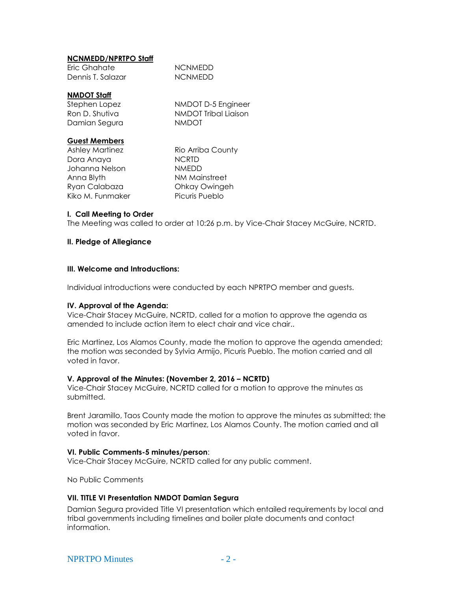### **NCNMEDD/NPRTPO Staff**

| Eric Ghahate      | <b>NCNMEDD</b> |
|-------------------|----------------|
| Dennis T. Salazar | <b>NCNMEDD</b> |

#### **NMDOT Staff**

| Stephen Lopez  |  |
|----------------|--|
| Ron D. Shutiva |  |
| Damian Segura  |  |

NMDOT D-5 Engineer **NMDOT Tribal Liaison** NMDOT

#### **Guest Members**

Dora Anaya NCRTD Johanna Nelson NMEDD Anna Blyth NM Mainstreet Ryan Calabaza Ohkay Owingeh Kiko M. Funmaker Picuris Pueblo

Ashley Martinez Rio Arriba County

#### **I. Call Meeting to Order**

The Meeting was called to order at 10:26 p.m. by Vice-Chair Stacey McGuire, NCRTD.

#### **II. Pledge of Allegiance**

#### **III. Welcome and Introductions:**

Individual introductions were conducted by each NPRTPO member and guests.

#### **IV. Approval of the Agenda:**

Vice-Chair Stacey McGuire, NCRTD, called for a motion to approve the agenda as amended to include action item to elect chair and vice chair..

Eric Martinez, Los Alamos County, made the motion to approve the agenda amended; the motion was seconded by Sylvia Armijo, Picuris Pueblo. The motion carried and all voted in favor.

#### **V. Approval of the Minutes: (November 2, 2016 – NCRTD)**

Vice-Chair Stacey McGuire, NCRTD called for a motion to approve the minutes as submitted.

Brent Jaramillo, Taos County made the motion to approve the minutes as submitted; the motion was seconded by Eric Martinez, Los Alamos County. The motion carried and all voted in favor.

#### **VI. Public Comments-5 minutes/person**:

Vice-Chair Stacey McGuire, NCRTD called for any public comment.

No Public Comments

#### **VII. TITLE VI Presentation NMDOT Damian Segura**

Damian Segura provided Title VI presentation which entailed requirements by local and tribal governments including timelines and boiler plate documents and contact information.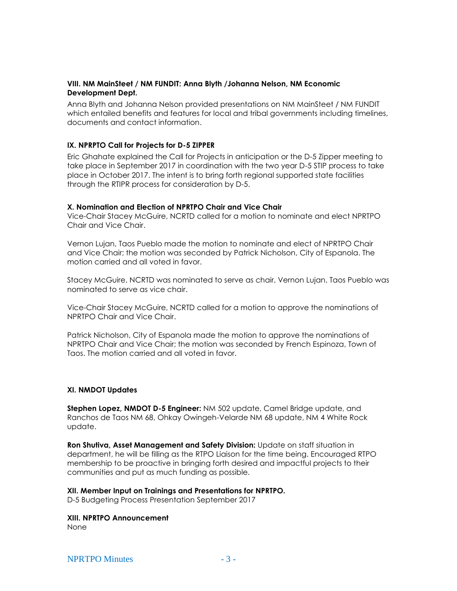#### **VIII. NM MainSteet / NM FUNDIT: Anna Blyth /Johanna Nelson, NM Economic Development Dept.**

Anna Blyth and Johanna Nelson provided presentations on NM MainSteet / NM FUNDIT which entailed benefits and features for local and tribal governments including timelines, documents and contact information.

#### **IX. NPRPTO Call for Projects for D-5 ZIPPER**

Eric Ghahate explained the Call for Projects in anticipation or the D-5 Zipper meeting to take place in September 2017 in coordination with the two year D-5 STIP process to take place in October 2017. The intent is to bring forth regional supported state facilities through the RTIPR process for consideration by D-5.

#### **X. Nomination and Election of NPRTPO Chair and Vice Chair**

Vice-Chair Stacey McGuire, NCRTD called for a motion to nominate and elect NPRTPO Chair and Vice Chair.

Vernon Lujan, Taos Pueblo made the motion to nominate and elect of NPRTPO Chair and Vice Chair; the motion was seconded by Patrick Nicholson, City of Espanola. The motion carried and all voted in favor.

Stacey McGuire, NCRTD was nominated to serve as chair, Vernon Lujan, Taos Pueblo was nominated to serve as vice chair.

Vice-Chair Stacey McGuire, NCRTD called for a motion to approve the nominations of NPRTPO Chair and Vice Chair.

Patrick Nicholson, City of Espanola made the motion to approve the nominations of NPRTPO Chair and Vice Chair; the motion was seconded by French Espinoza, Town of Taos. The motion carried and all voted in favor.

#### **XI. NMDOT Updates**

**Stephen Lopez, NMDOT D-5 Engineer:** NM 502 update, Camel Bridge update, and Ranchos de Taos NM 68, Ohkay Owingeh-Velarde NM 68 update, NM 4 White Rock update.

**Ron Shutiva, Asset Management and Safety Division:** Update on staff situation in department, he will be filling as the RTPO Liaison for the time being. Encouraged RTPO membership to be proactive in bringing forth desired and impactful projects to their communities and put as much funding as possible.

#### **XII. Member Input on Trainings and Presentations for NPRTPO.**

D-5 Budgeting Process Presentation September 2017

# **XIII. NPRTPO Announcement**

None